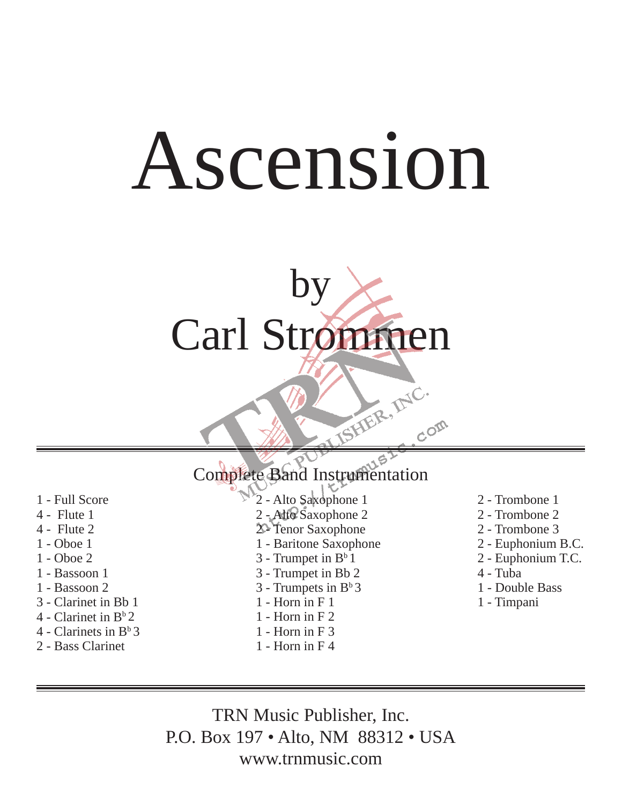# by Carl Strommen

# Complete Band Instrumentation

JSHER, INC.

- 1 Full Score
- 4 Flute 1
- 4 Flute 2
- 1 Oboe 1
- 1 Oboe 2
- 1 Bassoon 1
- 1 Bassoon 2
- 3 Clarinet in Bb 1
- 4 Clarinet in  $B^b 2$
- 4 Clarinets in  $B<sup>b</sup>$  3
- 2 Bass Clarinet
- 2 Alto Saxophone 1
- 2 Alto Saxophone 2
- 2<sup>2</sup> Tenor Saxophone
- 1 Baritone Saxophone
- $3$  Trumpet in  $B^b1$
- 3 Trumpet in Bb 2
- $3$  Trumpets in  $B^b3$
- 1 Horn in F 1
- 1 Horn in F 2
- 1 Horn in F 3
- 1 Horn in F 4
- 2 Trombone 1
- 2 Trombone 2
- 2 Trombone 3
- 2 Euphonium B.C.
- 2 Euphonium T.C.
- 4 Tuba
- 1 Double Bass
- 1 Timpani

TRN Music Publisher, Inc. P.O. Box 197 • Alto, NM 88312 • USA www.trnmusic.com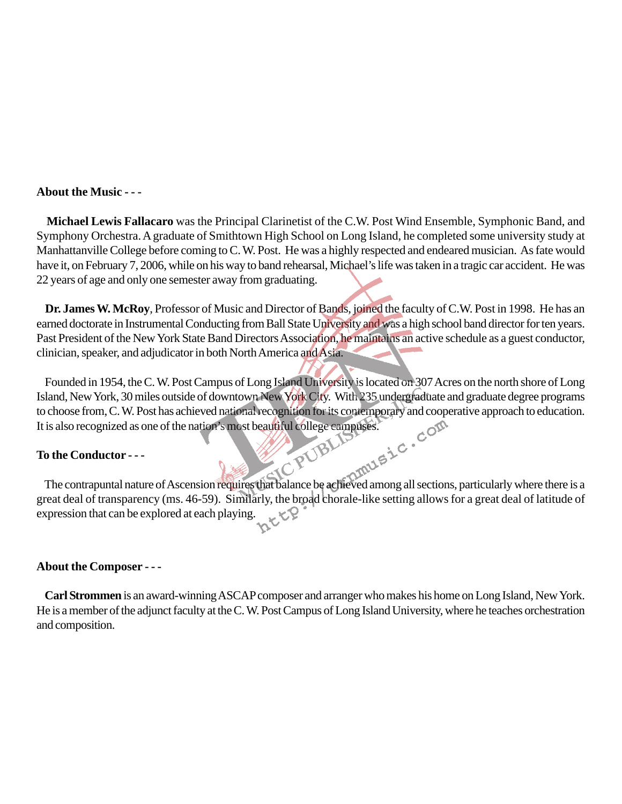#### **About the Music - - -**

 **Michael Lewis Fallacaro** was the Principal Clarinetist of the C.W. Post Wind Ensemble, Symphonic Band, and Symphony Orchestra. A graduate of Smithtown High School on Long Island, he completed some university study at Manhattanville College before coming to C. W. Post. He was a highly respected and endeared musician. As fate would have it, on February 7, 2006, while on his way to band rehearsal, Michael's life was taken in a tragic car accident. He was 22 years of age and only one semester away from graduating.

 **Dr. James W. McRoy**, Professor of Music and Director of Bands, joined the faculty of C.W. Post in 1998. He has an earned doctorate in Instrumental Conducting from Ball State University and was a high school band director for ten years. Past President of the New York State Band Directors Association, he maintains an active schedule as a guest conductor, clinician, speaker, and adjudicator in both North America and Asia.

 Founded in 1954, the C. W. Post Campus of Long Island University is located on 307 Acres on the north shore of Long Island, New York, 30 miles outside of downtown New York City. With 235 undergraduate and graduate degree programs to choose from, C. W. Post has achieved national recognition for its contemporary and cooperative approach to education. It is also recognized as one of the nation's most beautiful college campuses.

### **To the Conductor - - -**

 The contrapuntal nature of Ascension requires that balance be achieved among all sections, particularly where there is a great deal of transparency (ms. 46-59). Similarly, the broad chorale-like setting allows for a great deal of latitude of expression that can be explored at each playing.

#### **About the Composer - - -**

 **Carl Strommen** is an award-winning ASCAP composer and arranger who makes his home on Long Island, New York. He is a member of the adjunct faculty at the C. W. Post Campus of Long Island University, where he teaches orchestration and composition.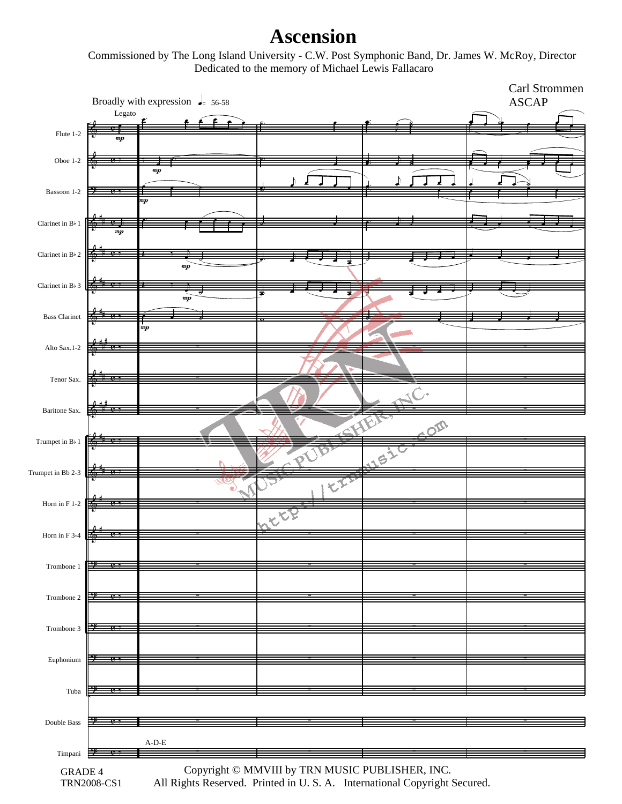Commissioned by The Long Island University - C.W. Post Symphonic Band, Dr. James W. McRoy, Director Dedicated to the memory of Michael Lewis Fallacaro

|                                         |                 | Broadly with expression $\Big  = 56-58$ |                                                 |      |       |         |  | Carl Strommen<br>$\operatorname{ASCAP}$ |  |
|-----------------------------------------|-----------------|-----------------------------------------|-------------------------------------------------|------|-------|---------|--|-----------------------------------------|--|
|                                         | Legato          |                                         |                                                 |      |       |         |  |                                         |  |
| Flute 1-2                               |                 |                                         |                                                 |      |       |         |  |                                         |  |
|                                         | $_{mp}$         |                                         |                                                 |      |       |         |  |                                         |  |
| Oboe $1-2$                              |                 |                                         |                                                 |      |       |         |  |                                         |  |
|                                         |                 | $\it mp$                                |                                                 |      |       |         |  |                                         |  |
| Bassoon $1\mbox{-} 2$                   |                 |                                         |                                                 |      |       |         |  |                                         |  |
|                                         |                 | mp                                      |                                                 |      |       |         |  |                                         |  |
| Clarinet in $\rm B\flat$ 1              |                 |                                         |                                                 |      |       |         |  |                                         |  |
|                                         | $\mathfrak{m}p$ |                                         |                                                 |      |       |         |  |                                         |  |
| Clarinet in $\rm B\mathbin\downarrow 2$ |                 |                                         |                                                 |      |       |         |  |                                         |  |
|                                         |                 |                                         |                                                 |      |       |         |  |                                         |  |
|                                         |                 | mp                                      |                                                 |      |       |         |  |                                         |  |
| Clarinet in $B \flat 3$                 |                 |                                         |                                                 |      |       |         |  |                                         |  |
|                                         |                 | mp                                      |                                                 |      |       |         |  |                                         |  |
| <b>Bass Clarinet</b>                    |                 |                                         |                                                 |      |       |         |  |                                         |  |
|                                         |                 | $\mathbf{m} \mathbf{p}$                 |                                                 |      |       |         |  |                                         |  |
|                                         |                 |                                         |                                                 |      |       |         |  |                                         |  |
| Alto Sax.1-2 $\,$                       |                 |                                         |                                                 |      |       |         |  |                                         |  |
|                                         |                 |                                         |                                                 |      |       |         |  |                                         |  |
| Tenor Sax.                              |                 |                                         |                                                 |      |       |         |  |                                         |  |
|                                         |                 |                                         |                                                 |      |       |         |  |                                         |  |
| Baritone Sax.                           |                 |                                         |                                                 |      |       |         |  |                                         |  |
|                                         |                 |                                         |                                                 |      |       |         |  |                                         |  |
| Trumpet in $\rm B\flat\,1$              |                 |                                         |                                                 |      |       |         |  |                                         |  |
|                                         |                 |                                         |                                                 |      |       | $3^{2}$ |  |                                         |  |
| Trumpet in Bb 2-3                       |                 |                                         |                                                 |      |       |         |  |                                         |  |
|                                         |                 |                                         |                                                 |      | $K^2$ |         |  |                                         |  |
| Horn in F 1-2 $\,$                      |                 |                                         |                                                 |      |       |         |  |                                         |  |
|                                         |                 |                                         |                                                 |      |       |         |  |                                         |  |
|                                         |                 |                                         |                                                 | ALEE |       |         |  |                                         |  |
| Horn in F 3-4 $\,$                      | $\bullet$       |                                         |                                                 |      |       |         |  |                                         |  |
|                                         |                 |                                         |                                                 |      |       |         |  |                                         |  |
| Trombone $1\,$                          |                 |                                         |                                                 |      |       |         |  |                                         |  |
|                                         |                 |                                         |                                                 |      |       |         |  |                                         |  |
| Trombone 2                              | $\overline{a}$  |                                         |                                                 |      |       |         |  |                                         |  |
|                                         |                 |                                         |                                                 |      |       |         |  |                                         |  |
| Trombone 3                              | Œ               |                                         |                                                 |      |       |         |  |                                         |  |
|                                         |                 |                                         |                                                 |      |       |         |  |                                         |  |
|                                         |                 |                                         |                                                 |      |       |         |  |                                         |  |
| Euphonium                               | $\overline{a}$  |                                         |                                                 |      |       |         |  |                                         |  |
|                                         |                 |                                         |                                                 |      |       |         |  |                                         |  |
| ${\rm Tuba}$                            |                 |                                         |                                                 |      |       |         |  |                                         |  |
|                                         |                 |                                         |                                                 |      |       |         |  |                                         |  |
| Double Bass                             |                 |                                         |                                                 |      |       |         |  |                                         |  |
|                                         |                 |                                         |                                                 |      |       |         |  |                                         |  |
| Timpani <b>P</b>                        |                 | $A-D-E$                                 |                                                 |      |       |         |  |                                         |  |
| <b>GRADE 4</b>                          |                 |                                         | Copyright © MMVIII by TRN MUSIC PUBLISHER, INC. |      |       |         |  |                                         |  |
|                                         |                 |                                         |                                                 |      |       |         |  |                                         |  |

TRN2008-CS1

 Copyright © MMVIII by TRN MUSIC PUBLISHER, INC. All Rights Reserved. Printed in U. S. A. International Copyright Secured.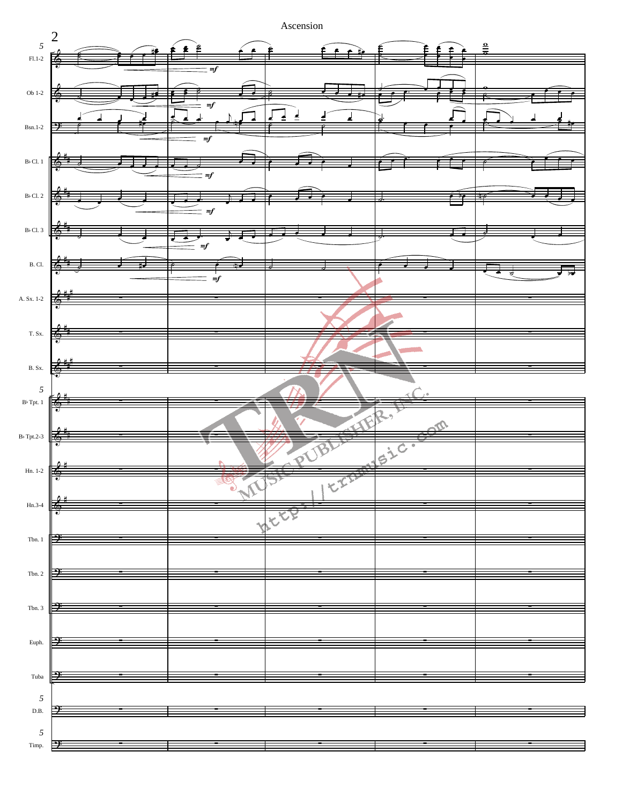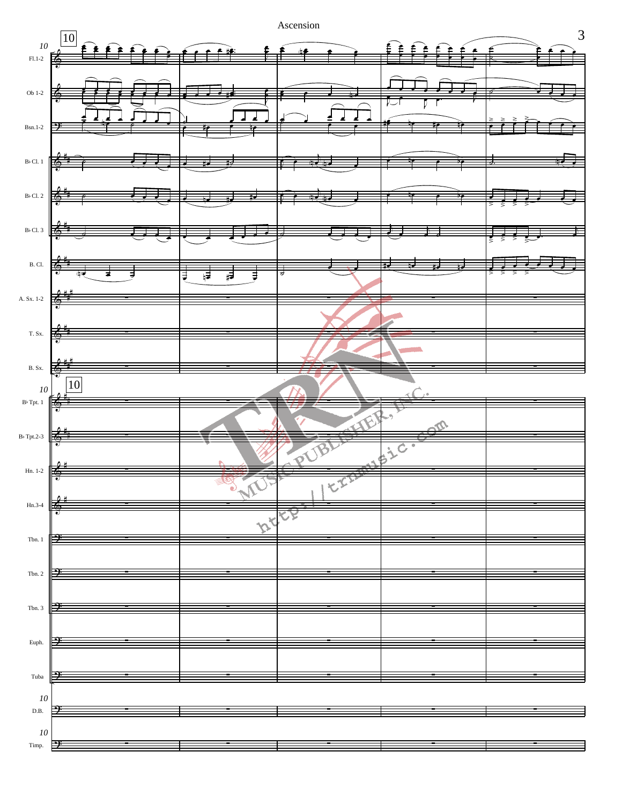

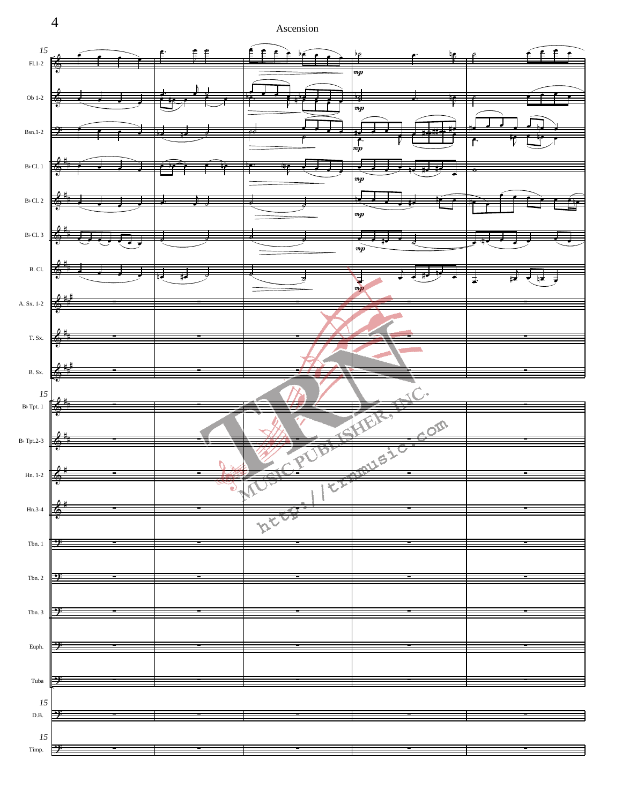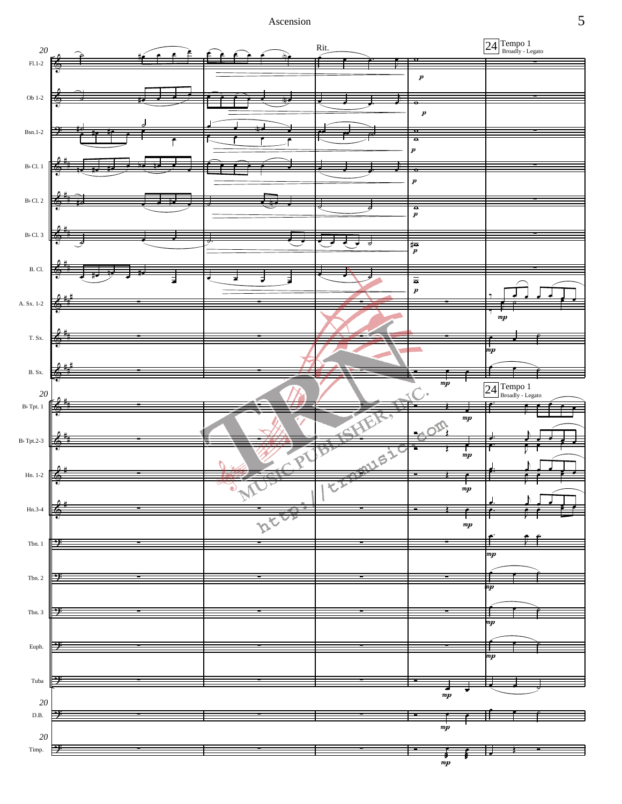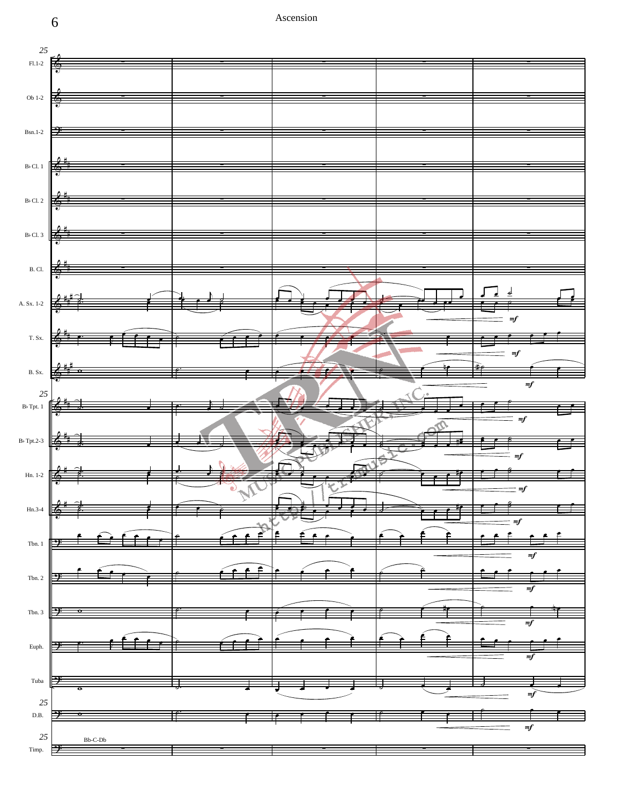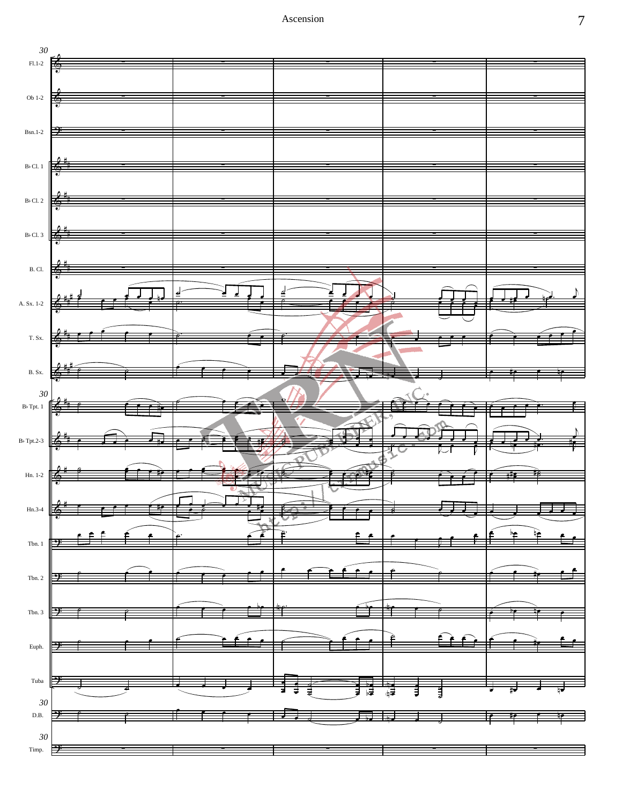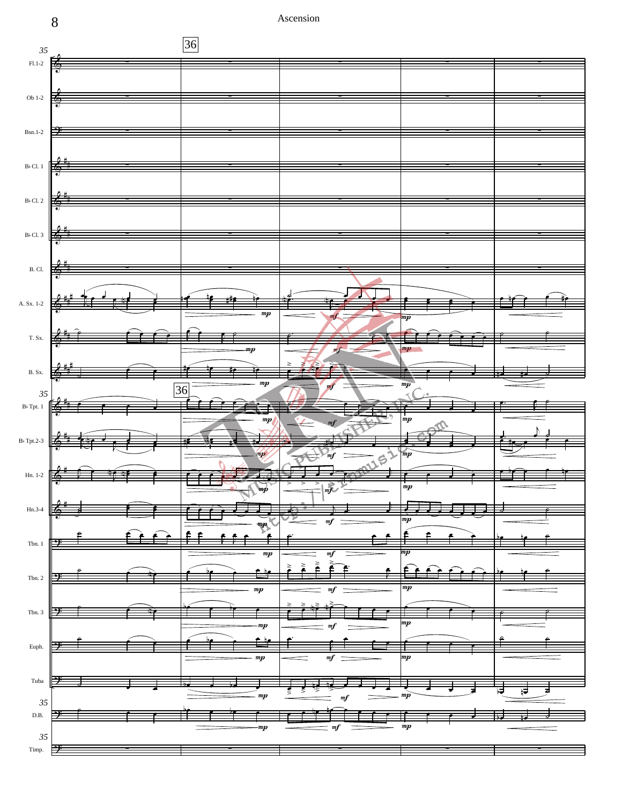

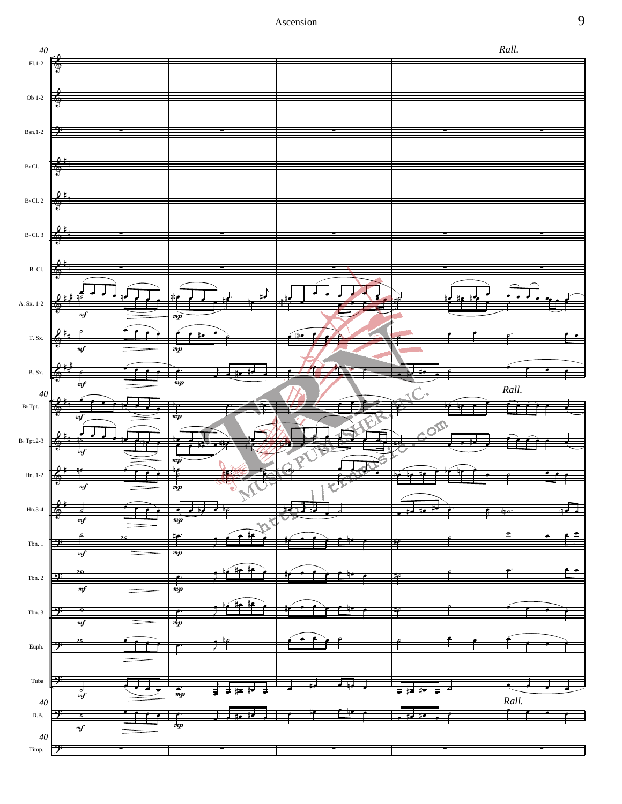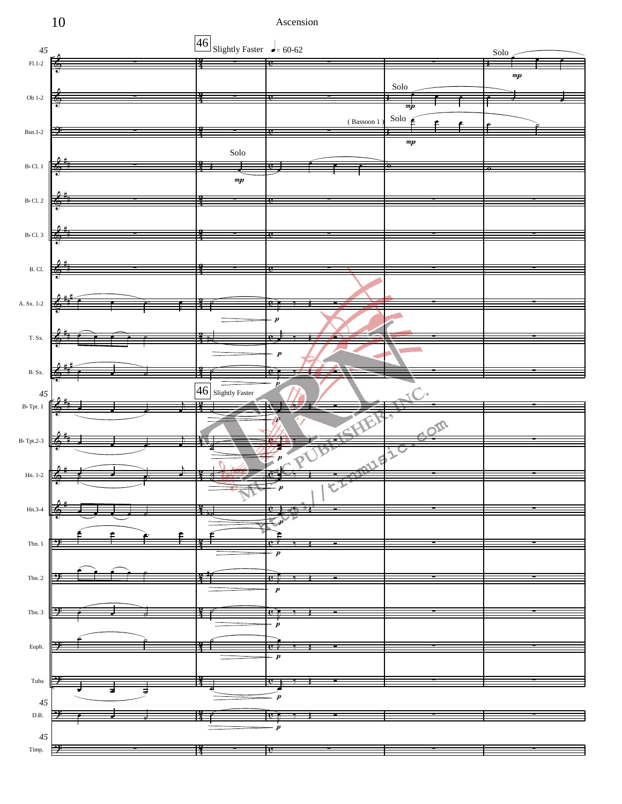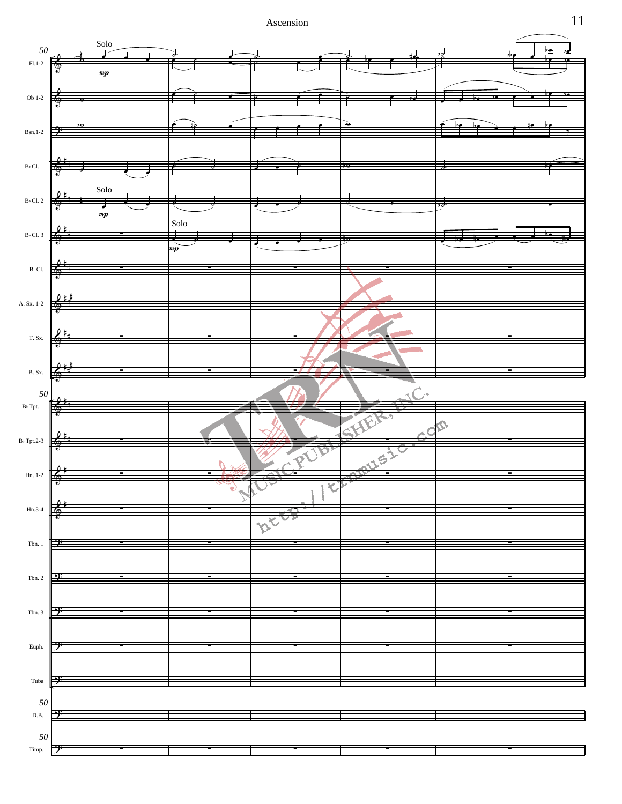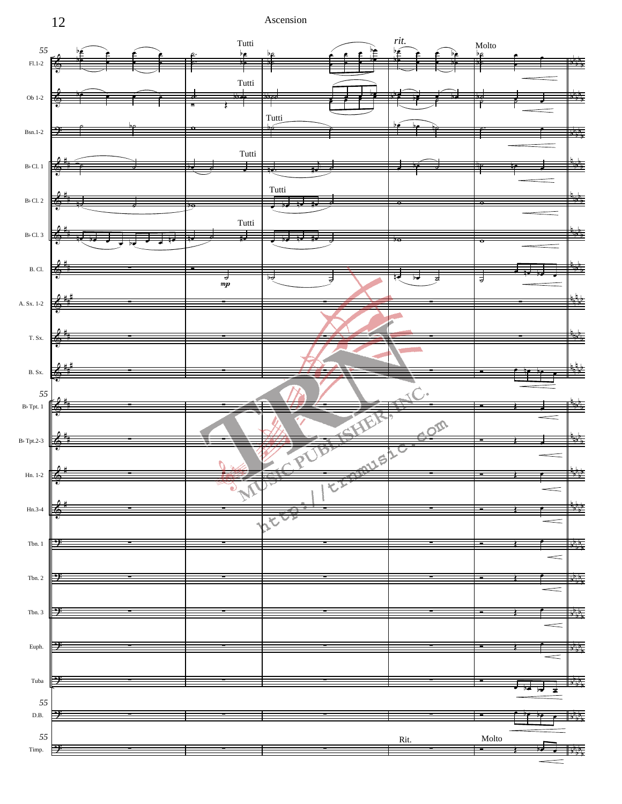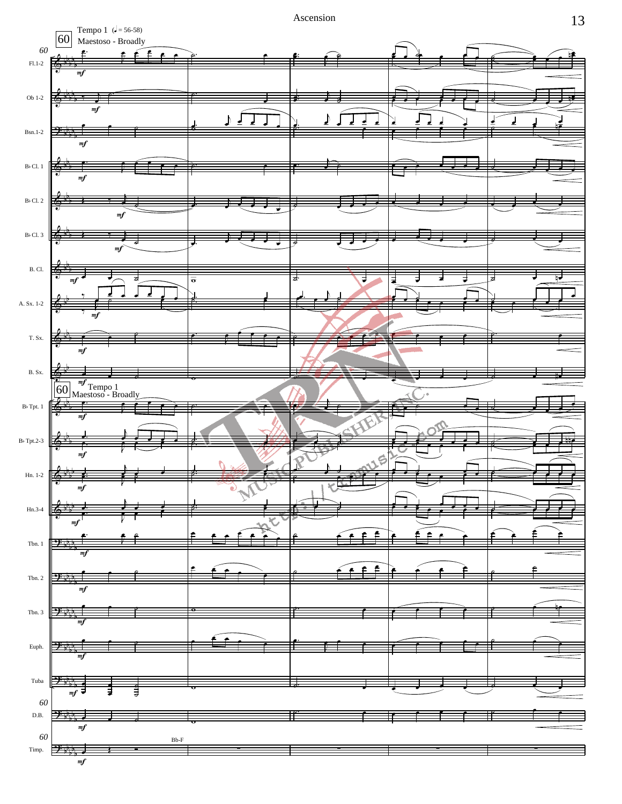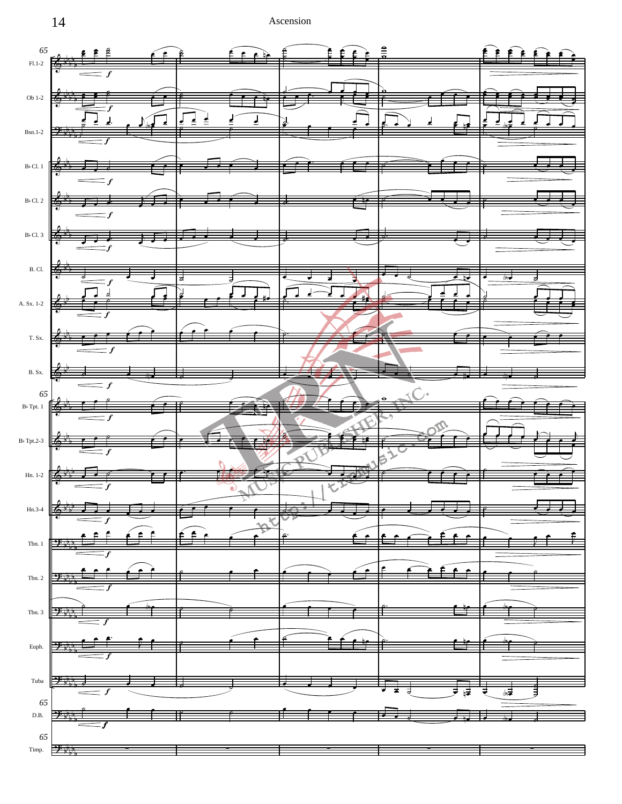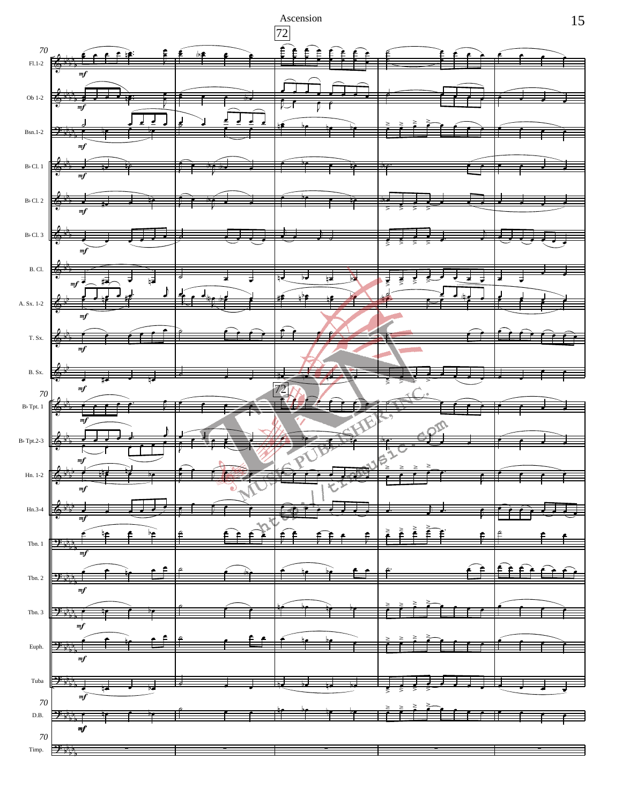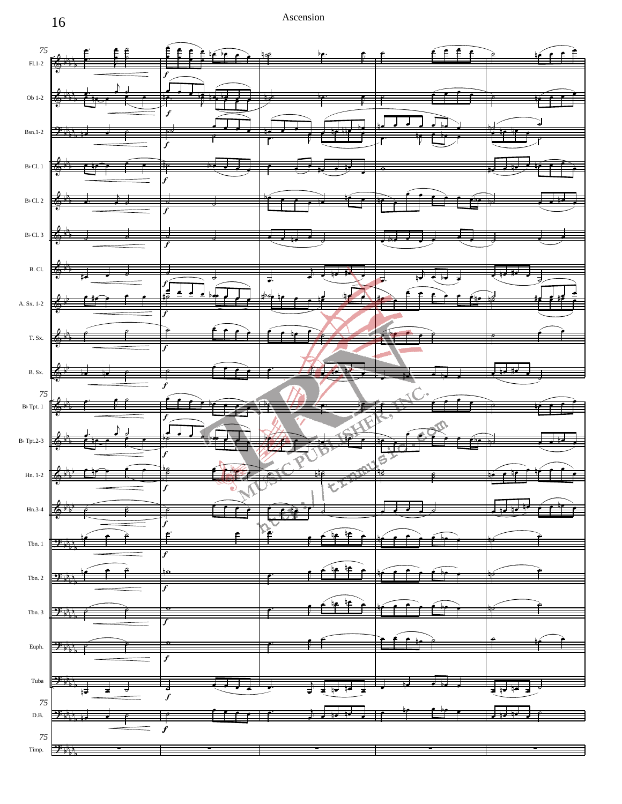